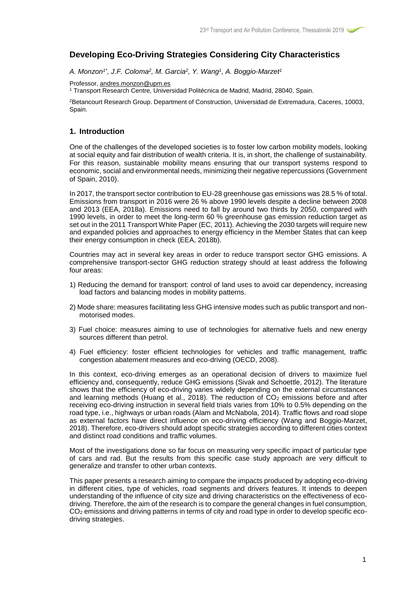# **Developing Eco-Driving Strategies Considering City Characteristics**

*A. Monzon1\* , J.F. Coloma<sup>2</sup> , M. Garcia<sup>2</sup> , Y. Wang<sup>1</sup> , A. Boggio-Marzet<sup>1</sup>*

Professor, [andres.monzon@upm.es](mailto:andres.monzon@upm.es)

<sup>1</sup> Transport Research Centre, Universidad Politécnica de Madrid, Madrid, 28040, Spain.

<sup>2</sup>Betancourt Research Group. Department of Construction, Universidad de Extremadura, Caceres, 10003, Spain.

# **1. Introduction**

One of the challenges of the developed societies is to foster low carbon mobility models, looking at social equity and fair distribution of wealth criteria. It is, in short, the challenge of sustainability. For this reason, sustainable mobility means ensuring that our transport systems respond to economic, social and environmental needs, minimizing their negative repercussions (Government of Spain, 2010).

In 2017, the transport sector contribution to EU-28 greenhouse gas emissions was 28.5 % of total. Emissions from transport in 2016 were 26 % above 1990 levels despite a decline between 2008 and 2013 (EEA, 2018a)*.* Emissions need to fall by around two thirds by 2050, compared with 1990 levels, in order to meet the long-term 60 % greenhouse gas emission reduction target as set out in the 2011 Transport White Paper (EC, 2011). Achieving the 2030 targets will require new and expanded policies and approaches to energy efficiency in the Member States that can keep their energy consumption in check (EEA, 2018b).

Countries may act in several key areas in order to reduce transport sector GHG emissions. A comprehensive transport-sector GHG reduction strategy should at least address the following four areas:

- 1) Reducing the demand for transport: control of land uses to avoid car dependency, increasing load factors and balancing modes in mobility patterns.
- 2) Mode share: measures facilitating less GHG intensive modes such as public transport and nonmotorised modes.
- 3) Fuel choice: measures aiming to use of technologies for alternative fuels and new energy sources different than petrol.
- 4) Fuel efficiency: foster efficient technologies for vehicles and traffic management, traffic congestion abatement measures and eco-driving (OECD, 2008).

In this context, eco-driving emerges as an operational decision of drivers to maximize fuel efficiency and, consequently, reduce GHG emissions (Sivak and Schoettle, 2012). The literature shows that the efficiency of eco-driving varies widely depending on the external circumstances and learning methods (Huang et al., 2018). The reduction of  $CO<sub>2</sub>$  emissions before and after receiving eco-driving instruction in several field trials varies from 10% to 0.5% depending on the road type, i.e., highways or urban roads (Alam and McNabola, 2014). Traffic flows and road slope as external factors have direct influence on eco-driving efficiency (Wang and Boggio-Marzet, 2018). Therefore, eco-drivers should adopt specific strategies according to different cities context and distinct road conditions and traffic volumes.

Most of the investigations done so far focus on measuring very specific impact of particular type of cars and rad. But the results from this specific case study approach are very difficult to generalize and transfer to other urban contexts.

This paper presents a research aiming to compare the impacts produced by adopting eco-driving in different cities, type of vehicles, road segments and drivers features. It intends to deepen understanding of the influence of city size and driving characteristics on the effectiveness of ecodriving. Therefore, the aim of the research is to compare the general changes in fuel consumption, CO<sup>2</sup> emissions and driving patterns in terms of city and road type in order to develop specific ecodriving strategies.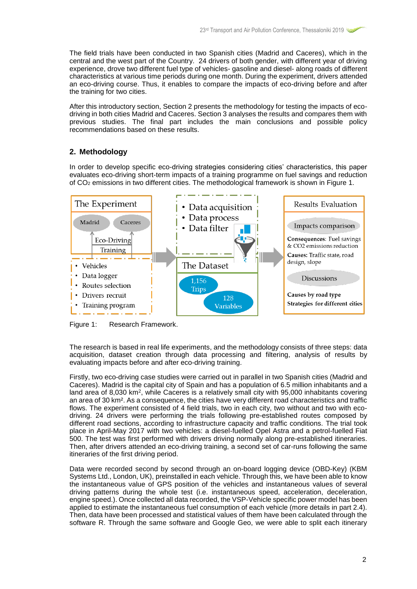The field trials have been conducted in two Spanish cities (Madrid and Caceres), which in the central and the west part of the Country. 24 drivers of both gender, with different year of driving experience, drove two different fuel type of vehicles- gasoline and diesel- along roads of different characteristics at various time periods during one month. During the experiment, drivers attended an eco-driving course. Thus, it enables to compare the impacts of eco-driving before and after the training for two cities.

After this introductory section, Section 2 presents the methodology for testing the impacts of ecodriving in both cities Madrid and Caceres. Section 3 analyses the results and compares them with previous studies. The final part includes the main conclusions and possible policy recommendations based on these results.

# **2. Methodology**

In order to develop specific eco-driving strategies considering cities' characteristics, this paper evaluates eco-driving short-term impacts of a training programme on fuel savings and reduction of CO<sup>2</sup> emissions in two different cities. The methodological framework is shown in Figure 1.



Figure 1: Research Framework.

The research is based in real life experiments, and the methodology consists of three steps: data acquisition, dataset creation through data processing and filtering, analysis of results by evaluating impacts before and after eco-driving training.

Firstly, two eco-driving case studies were carried out in parallel in two Spanish cities (Madrid and Caceres). Madrid is the capital city of Spain and has a population of 6.5 million inhabitants and a land area of 8,030  $km^2$ , while Caceres is a relatively small city with 95,000 inhabitants covering an area of 30 km². As a consequence, the cities have very different road characteristics and traffic flows. The experiment consisted of 4 field trials, two in each city, two without and two with ecodriving. 24 drivers were performing the trials following pre-established routes composed by different road sections, according to infrastructure capacity and traffic conditions. The trial took place in April-May 2017 with two vehicles: a diesel-fuelled Opel Astra and a petrol-fuelled Fiat 500. The test was first performed with drivers driving normally along pre-established itineraries. Then, after drivers attended an eco-driving training, a second set of car-runs following the same itineraries of the first driving period.

Data were recorded second by second through an on-board logging device (OBD-Key) (KBM Systems Ltd., London, UK), preinstalled in each vehicle. Through this, we have been able to know the instantaneous value of GPS position of the vehicles and instantaneous values of several driving patterns during the whole test (i.e. instantaneous speed, acceleration, deceleration, engine speed.). Once collected all data recorded, the VSP-Vehicle specific power model has been applied to estimate the instantaneous fuel consumption of each vehicle (more details in part 2.4). Then, data have been processed and statistical values of them have been calculated through the software R. Through the same software and Google Geo, we were able to split each itinerary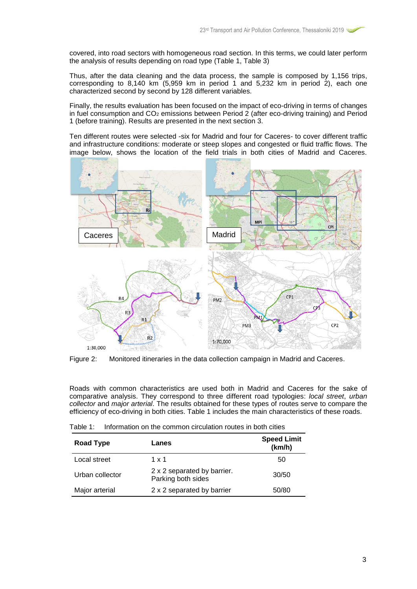covered, into road sectors with homogeneous road section. In this terms, we could later perform the analysis of results depending on road type (Table 1, Table 3)

Thus, after the data cleaning and the data process, the sample is composed by 1,156 trips, corresponding to  $8,140 \text{ km}$  (5,959 km in period 1 and 5,232 km in period 2), each one characterized second by second by 128 different variables.

Finally, the results evaluation has been focused on the impact of eco-driving in terms of changes in fuel consumption and  $CO<sub>2</sub>$  emissions between Period 2 (after eco-driving training) and Period 1 (before training). Results are presented in the next section 3.

Ten different routes were selected -six for Madrid and four for Caceres- to cover different traffic and infrastructure conditions: moderate or steep slopes and congested or fluid traffic flows. The image below, shows the location of the field trials in both cities of Madrid and Caceres.



Figure 2: Monitored itineraries in the data collection campaign in Madrid and Caceres.

Roads with common characteristics are used both in Madrid and Caceres for the sake of comparative analysis. They correspond to three different road typologies: *local street*, *urban collector* and *major arterial*. The results obtained for these types of routes serve to compare the efficiency of eco-driving in both cities. Table 1 includes the main characteristics of these roads.

|  |  | Table 1: Information on the common circulation routes in both cities |
|--|--|----------------------------------------------------------------------|
|  |  |                                                                      |

| Road Type       | Lanes                                             | <b>Speed Limit</b><br>(km/h) |
|-----------------|---------------------------------------------------|------------------------------|
| Local street    | 1 x 1                                             | 50                           |
| Urban collector | 2 x 2 separated by barrier.<br>Parking both sides | 30/50                        |
| Major arterial  | 2 x 2 separated by barrier                        | 50/80                        |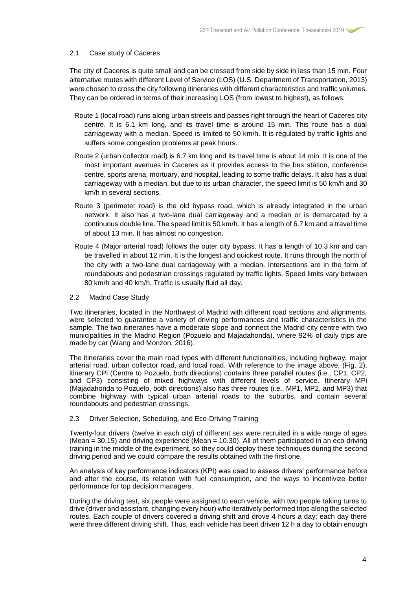### 2.1 Case study of Caceres

The city of Caceres is quite small and can be crossed from side by side in less than 15 min. Four alternative routes with different Level of Service (LOS) (U.S. Department of Transportation, 2013) were chosen to cross the city following itineraries with different characteristics and traffic volumes. They can be ordered in terms of their increasing LOS (from lowest to highest), as follows:

- Route 1 (local road) runs along urban streets and passes right through the heart of Caceres city centre. It is 6.1 km long, and its travel time is around 15 min. This route has a dual carriageway with a median. Speed is limited to 50 km/h. It is regulated by traffic lights and suffers some congestion problems at peak hours.
- Route 2 (urban collector road) is 6.7 km long and its travel time is about 14 min. It is one of the most important avenues in Caceres as it provides access to the bus station, conference centre, sports arena, mortuary, and hospital, leading to some traffic delays. It also has a dual carriageway with a median, but due to its urban character, the speed limit is 50 km/h and 30 km/h in several sections.
- Route 3 (perimeter road) is the old bypass road, which is already integrated in the urban network. It also has a two-lane dual carriageway and a median or is demarcated by a continuous double line. The speed limit is 50 km/h. It has a length of 6.7 km and a travel time of about 13 min. It has almost no congestion.
- Route 4 (Major arterial road) follows the outer city bypass. It has a length of 10.3 km and can be travelled in about 12 min. It is the longest and quickest route. It runs through the north of the city with a two-lane dual carriageway with a median. Intersections are in the form of roundabouts and pedestrian crossings regulated by traffic lights. Speed limits vary between 80 km/h and 40 km/h. Traffic is usually fluid all day.

#### 2.2 Madrid Case Study

Two itineraries, located in the Northwest of Madrid with different road sections and alignments, were selected to guarantee a variety of driving performances and traffic characteristics in the sample. The two itineraries have a moderate slope and connect the Madrid city centre with two municipalities in the Madrid Region (Pozuelo and Majadahonda), where 92% of daily trips are made by car (Wang and Monzon, 2016).

The itineraries cover the main road types with different functionalities, including highway, major arterial road, urban collector road, and local road. With reference to the image above, (Fig. 2), itinerary CPi (Centre to Pozuelo, both directions) contains three parallel routes (i.e., CP1, CP2, and CP3) consisting of mixed highways with different levels of service. Itinerary MPi (Majadahonda to Pozuelo, both directions) also has three routes (i.e., MP1, MP2, and MP3) that combine highway with typical urban arterial roads to the suburbs, and contain several roundabouts and pedestrian crossings.

### 2.3 Driver Selection, Scheduling, and Eco-Driving Training

Twenty-four drivers (twelve in each city) of different sex were recruited in a wide range of ages (Mean = 30.15) and driving experience (Mean = 10.30). All of them participated in an eco-driving training in the middle of the experiment, so they could deploy these techniques during the second driving period and we could compare the results obtained with the first one.

An analysis of key performance indicators (KPI) was used to assess drivers' performance before and after the course, its relation with fuel consumption, and the ways to incentivize better performance for top decision managers.

During the driving test, six people were assigned to each vehicle, with two people taking turns to drive (driver and assistant, changing every hour) who iteratively performed trips along the selected routes. Each couple of drivers covered a driving shift and drove 4 hours a day; each day there were three different driving shift. Thus, each vehicle has been driven 12 h a day to obtain enough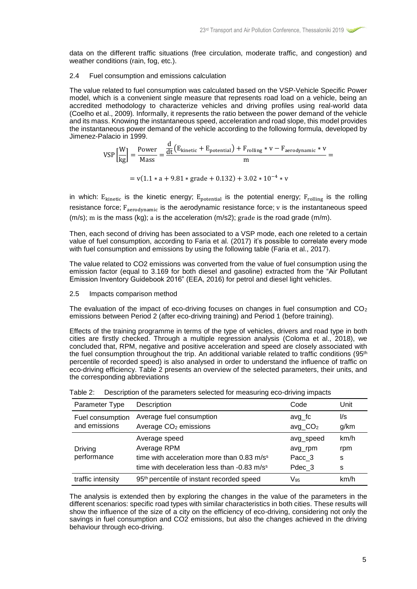data on the different traffic situations (free circulation, moderate traffic, and congestion) and weather conditions (rain, fog, etc.).

### 2.4 Fuel consumption and emissions calculation

The value related to fuel consumption was calculated based on the VSP-Vehicle Specific Power model, which is a convenient single measure that represents road load on a vehicle, being an accredited methodology to characterize vehicles and driving profiles using real-world data (Coelho et al., 2009)*.* Informally, it represents the ratio between the power demand of the vehicle and its mass. Knowing the instantaneous speed, acceleration and road slope, this model provides the instantaneous power demand of the vehicle according to the following formula, developed by Jimenez-Palacio in 1999. d

$$
VSP\left[\frac{W}{kg}\right] = \frac{Power}{Mass} = \frac{\frac{d}{dt}(E_{kinetic} + E_{potential}) + F_{rolling} * v - F_{aerodynamic} * v}{m} =
$$

 $= v(1.1 * a + 9.81 * grade + 0.132) + 3.02 * 10^{-4} * v$ 

in which:  $E_{kinetic}$  is the kinetic energy;  $E_{potential}$  is the potential energy;  $F_{rolling}$  is the rolling resistance force;  $F_{\text{aerodynamic}}$  is the aerodynamic resistance force; v is the instantaneous speed (m/s); m is the mass (kg); a is the acceleration (m/s2); grade is the road grade (m/m).

Then, each second of driving has been associated to a VSP mode, each one releted to a certain value of fuel consumption, according to Faria et al. (2017) it's possible to correlate every mode with fuel consumption and emissions by using the following table (Faria et al., 2017).

The value related to CO2 emissions was converted from the value of fuel consumption using the emission factor (equal to 3.169 for both diesel and gasoline) extracted from the "Air Pollutant Emission Inventory Guidebook 2016" (EEA, 2016) for petrol and diesel light vehicles.

### 2.5 Impacts comparison method

The evaluation of the impact of eco-driving focuses on changes in fuel consumption and  $CO<sub>2</sub>$ emissions between Period 2 (after eco-driving training) and Period 1 (before training).

Effects of the training programme in terms of the type of vehicles, drivers and road type in both cities are firstly checked. Through a multiple regression analysis (Coloma et al., 2018), we concluded that, RPM, negative and positive acceleration and speed are closely associated with the fuel consumption throughout the trip. An additional variable related to traffic conditions (95<sup>th</sup>) percentile of recorded speed) is also analysed in order to understand the influence of traffic on eco-driving efficiency. Table 2 presents an overview of the selected parameters, their units, and the corresponding abbreviations

| Parameter Type                    | Description                                                                                                                                       | Code                                     | Unit                  |
|-----------------------------------|---------------------------------------------------------------------------------------------------------------------------------------------------|------------------------------------------|-----------------------|
| Fuel consumption<br>and emissions | Average fuel consumption<br>Average CO <sub>2</sub> emissions                                                                                     | avg_fc<br>$avg\_CO2$                     | l/s<br>g/km           |
| <b>Driving</b><br>performance     | Average speed<br>Average RPM<br>time with acceleration more than 0.83 m/s <sup>s</sup><br>time with deceleration less than -0.83 m/s <sup>s</sup> | avg_speed<br>avg_rpm<br>Pacc 3<br>Pdec 3 | km/h<br>rpm<br>s<br>s |
| traffic intensity                 | 95 <sup>th</sup> percentile of instant recorded speed                                                                                             | V95                                      | km/h                  |

| Table 2: I |  |  | Description of the parameters selected for measuring eco-driving impacts |
|------------|--|--|--------------------------------------------------------------------------|
|            |  |  |                                                                          |

The analysis is extended then by exploring the changes in the value of the parameters in the different scenarios: specific road types with similar characteristics in both cities. These results will show the influence of the size of a city on the efficiency of eco-driving, considering not only the savings in fuel consumption and CO2 emissions, but also the changes achieved in the driving behaviour through eco-driving.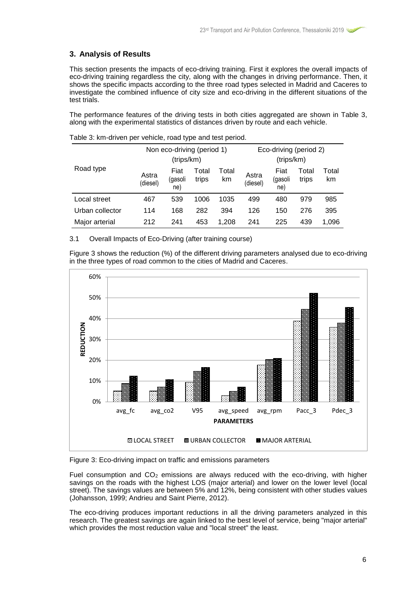# **3. Analysis of Results**

This section presents the impacts of eco-driving training. First it explores the overall impacts of eco-driving training regardless the city, along with the changes in driving performance. Then, it shows the specific impacts according to the three road types selected in Madrid and Caceres to investigate the combined influence of city size and eco-driving in the different situations of the test trials.

The performance features of the driving tests in both cities aggregated are shown in Table 3, along with the experimental statistics of distances driven by route and each vehicle.

|                 | Non eco-driving (period 1)<br>(trips/km) |                        |                |             | Eco-driving (period 2)<br>(trips/km) |                        |                |             |
|-----------------|------------------------------------------|------------------------|----------------|-------------|--------------------------------------|------------------------|----------------|-------------|
| Road type       | Astra<br>(diesel)                        | Fiat<br>(gasoli<br>ne) | Total<br>trips | Total<br>km | Astra<br>(diesel)                    | Fiat<br>(gasoli<br>ne) | Total<br>trips | Total<br>km |
| Local street    | 467                                      | 539                    | 1006           | 1035        | 499                                  | 480                    | 979            | 985         |
| Urban collector | 114                                      | 168                    | 282            | 394         | 126                                  | 150                    | 276            | 395         |
| Major arterial  | 212                                      | 241                    | 453            | 1.208       | 241                                  | 225                    | 439            | 1,096       |

Table 3: km-driven per vehicle, road type and test period.

## 3.1 Overall Impacts of Eco-Driving (after training course)

Figure 3 shows the reduction (%) of the different driving parameters analysed due to eco-driving in the three types of road common to the cities of Madrid and Caceres.



Figure 3: Eco-driving impact on traffic and emissions parameters

Fuel consumption and  $CO<sub>2</sub>$  emissions are always reduced with the eco-driving, with higher savings on the roads with the highest LOS (major arterial) and lower on the lower level (local street). The savings values are between 5% and 12%, being consistent with other studies values (Johansson, 1999; Andrieu and Saint Pierre, 2012).

The eco-driving produces important reductions in all the driving parameters analyzed in this research. The greatest savings are again linked to the best level of service, being "major arterial" which provides the most reduction value and "local street" the least.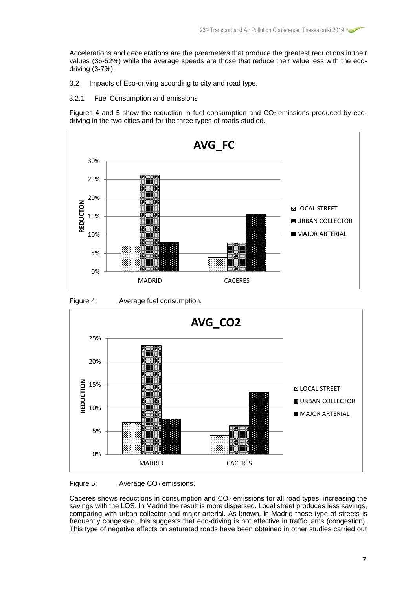Accelerations and decelerations are the parameters that produce the greatest reductions in their values (36-52%) while the average speeds are those that reduce their value less with the ecodriving (3-7%).

- 3.2 Impacts of Eco-driving according to city and road type.
- 3.2.1 Fuel Consumption and emissions

Figures 4 and 5 show the reduction in fuel consumption and  $CO<sub>2</sub>$  emissions produced by ecodriving in the two cities and for the three types of roads studied.





Figure 4: Average fuel consumption.

Figure 5: Average CO<sub>2</sub> emissions.

Caceres shows reductions in consumption and  $CO<sub>2</sub>$  emissions for all road types, increasing the savings with the LOS. In Madrid the result is more dispersed. Local street produces less savings, comparing with urban collector and major arterial. As known, in Madrid these type of streets is frequently congested, this suggests that eco-driving is not effective in traffic jams (congestion). This type of negative effects on saturated roads have been obtained in other studies carried out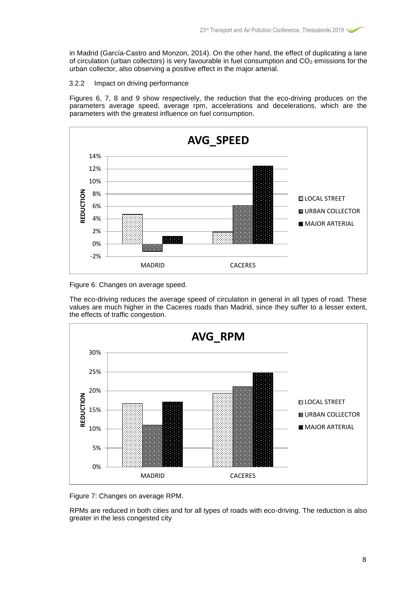in Madrid (García-Castro and Monzon, 2014). On the other hand, the effect of duplicating a lane of circulation (urban collectors) is very favourable in fuel consumption and  $CO<sub>2</sub>$  emissions for the urban collector, also observing a positive effect in the major arterial.

# 3.2.2 Impact on driving performance

Figures 6, 7, 8 and 9 show respectively, the reduction that the eco-driving produces on the parameters average speed, average rpm, accelerations and decelerations, which are the parameters with the greatest influence on fuel consumption.



Figure 6: Changes on average speed.

The eco-driving reduces the average speed of circulation in general in all types of road. These values are much higher in the Caceres roads than Madrid, since they suffer to a lesser extent, the effects of traffic congestion.



Figure 7: Changes on average RPM.

RPMs are reduced in both cities and for all types of roads with eco-driving. The reduction is also greater in the less congested city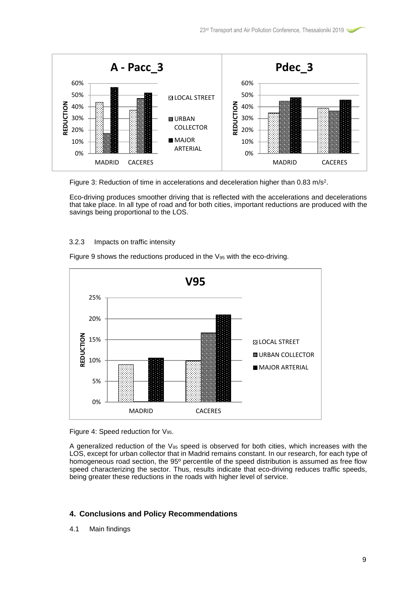

Figure 3: Reduction of time in accelerations and deceleration higher than 0.83 m/s<sup>2</sup>.

Eco-driving produces smoother driving that is reflected with the accelerations and decelerations that take place. In all type of road and for both cities, important reductions are produced with the savings being proportional to the LOS.

## 3.2.3 Impacts on traffic intensity

Figure 9 shows the reductions produced in the  $V_{95}$  with the eco-driving.



Figure 4: Speed reduction for V<sub>95</sub>.

A generalized reduction of the  $V_{95}$  speed is observed for both cities, which increases with the LOS, except for urban collector that in Madrid remains constant. In our research, for each type of homogeneous road section, the 95° percentile of the speed distribution is assumed as free flow speed characterizing the sector. Thus, results indicate that eco-driving reduces traffic speeds, being greater these reductions in the roads with higher level of service.

## **4. Conclusions and Policy Recommendations**

4.1 Main findings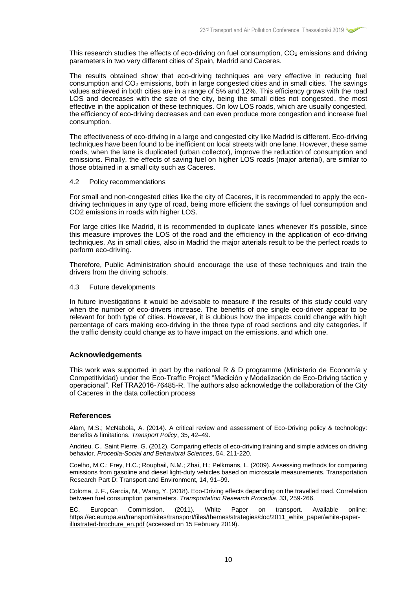This research studies the effects of eco-driving on fuel consumption,  $CO<sub>2</sub>$  emissions and driving parameters in two very different cities of Spain, Madrid and Caceres.

The results obtained show that eco-driving techniques are very effective in reducing fuel consumption and  $CO<sub>2</sub>$  emissions, both in large congested cities and in small cities. The savings values achieved in both cities are in a range of 5% and 12%. This efficiency grows with the road LOS and decreases with the size of the city, being the small cities not congested, the most effective in the application of these techniques. On low LOS roads, which are usually congested, the efficiency of eco-driving decreases and can even produce more congestion and increase fuel consumption.

The effectiveness of eco-driving in a large and congested city like Madrid is different. Eco-driving techniques have been found to be inefficient on local streets with one lane. However, these same roads, when the lane is duplicated (urban collector), improve the reduction of consumption and emissions. Finally, the effects of saving fuel on higher LOS roads (major arterial), are similar to those obtained in a small city such as Caceres.

#### 4.2 Policy recommendations

For small and non-congested cities like the city of Caceres, it is recommended to apply the ecodriving techniques in any type of road, being more efficient the savings of fuel consumption and CO2 emissions in roads with higher LOS.

For large cities like Madrid, it is recommended to duplicate lanes whenever it's possible, since this measure improves the LOS of the road and the efficiency in the application of eco-driving techniques. As in small cities, also in Madrid the major arterials result to be the perfect roads to perform eco-driving.

Therefore, Public Administration should encourage the use of these techniques and train the drivers from the driving schools.

4.3 Future developments

In future investigations it would be advisable to measure if the results of this study could vary when the number of eco-drivers increase. The benefits of one single eco-driver appear to be relevant for both type of cities. However, it is dubious how the impacts could change with high percentage of cars making eco-driving in the three type of road sections and city categories. If the traffic density could change as to have impact on the emissions, and which one.

## **Acknowledgements**

This work was supported in part by the national R & D programme (Ministerio de Economía y Competitividad) under the Eco-Traffic Project "Medición y Modelización de Eco-Driving táctico y operacional". Ref TRA2016-76485-R. The authors also acknowledge the collaboration of the City of Caceres in the data collection process

#### **References**

Alam, M.S.; McNabola, A. (2014). A critical review and assessment of Eco-Driving policy & technology: Benefits & limitations. *Transport Policy*, 35, 42–49.

Andrieu, C., Saint Pierre, G. (2012). Comparing effects of eco-driving training and simple advices on driving behavior. *Procedia-Social and Behavioral Sciences*, 54, 211-220.

Coelho, M.C.; Frey, H.C.; Rouphail, N.M.; Zhai, H.; Pelkmans, L. (2009). Assessing methods for comparing emissions from gasoline and diesel light-duty vehicles based on microscale measurements. Transportation Research Part D: Transport and Environment, 14, 91–99.

Coloma, J. F., García, M., Wang, Y. (2018). Eco-Driving effects depending on the travelled road. Correlation between fuel consumption parameters. *Transportation Research Procedia*, 33, 259-266.

EC, European Commission. (2011). White Paper on transport. Available online: [https://ec.europa.eu/transport/sites/transport/files/themes/strategies/doc/2011\\_white\\_paper/white-paper](https://ec.europa.eu/transport/sites/transport/files/themes/strategies/doc/2011_white_paper/white-paper-illustrated-brochure_en.pdf)[illustrated-brochure\\_en.pdf](https://ec.europa.eu/transport/sites/transport/files/themes/strategies/doc/2011_white_paper/white-paper-illustrated-brochure_en.pdf) (accessed on 15 February 2019).